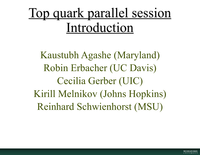# Top quark parallel session Introduction

Kaustubh Agashe (Maryland) Robin Erbacher (UC Davis) Cecilia Gerber (UIC) Kirill Melnikov (Johns Hopkins) Reinhard Schwienhorst (MSU)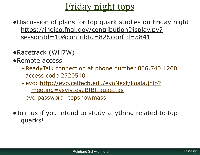## Friday night tops

•Discussion of plans for top quark studies on Friday night https://indico.fnal.gov/contributionDisplay.py? sessionId=10&contribId=82&confId=5841

- •Racetrack (WH7W)
- •Remote access
	- -ReadyTalk connection at phone number 866.740.1260
	- -access code 2720540
	- -evo: http://evo.caltech.edu/evoNext/koala.jnlp? meeting=vsvivIeseBIBIIauaeItas
	- -evo password: topsnowmass
- •Join us if you intend to study anything related to top quarks!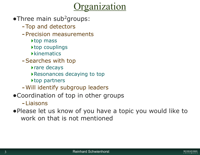## ganization

- $\bullet$ Three main sub<sup>2</sup>groups:
	- -Top and detectors
	- -Precision measurements
		- ‣top mass
		- ▶top couplings
		- **Kinematics**
	- -Searches with top
		- ‣rare decays
		- ‣Resonances decaying to top
		- ‣top partners
	- -Will identify subgroup leaders
- •Coordination of top in other groups
	- -Liaisons
- •Please let us know of you have a topic you would like to work on that is not mentioned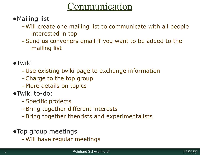## Communication

- •Mailing list
	- -Will create one mailing list to communicate with all people interested in top
	- -Send us conveners email if you want to be added to the mailing list
- •Twiki
	- -Use existing twiki page to exchange information
	- -Charge to the top group
	- -More details on topics
- •Twiki to-do:
	- -Specific projects
	- -Bring together different interests
	- -Bring together theorists and experimentalists
- •Top group meetings
	- -Will have regular meetings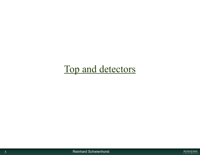## Top and detectors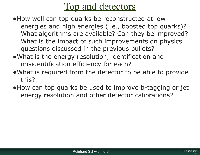#### Top and detectors

- •How well can top quarks be reconstructed at low energies and high energies (i.e., boosted top quarks)? What algorithms are available? Can they be improved? What is the impact of such improvements on physics questions discussed in the previous bullets?
- •What is the energy resolution, identification and misidentification efficiency for each?
- •What is required from the detector to be able to provide this?
- •How can top quarks be used to improve b-tagging or jet energy resolution and other detector calibrations?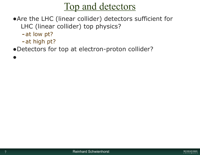#### Top and detectors

- •Are the LHC (linear collider) detectors sufficient for LHC (linear collider) top physics?
	- -at low pt?

•

- -at high pt?
- •Detectors for top at electron-proton collider?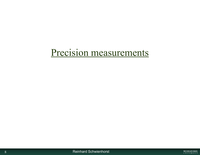#### Precision measurements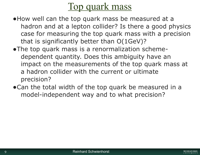#### Top quark mass

- •How well can the top quark mass be measured at a hadron and at a lepton collider? Is there a good physics case for measuring the top quark mass with a precision that is significantly better than O(1GeV)?
- •The top quark mass is a renormalization schemedependent quantity. Does this ambiguity have an impact on the measurements of the top quark mass at a hadron collider with the current or ultimate precision?
- •Can the total width of the top quark be measured in a model-independent way and to what precision?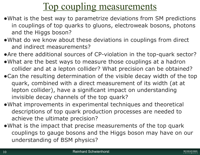## Top coupling measurements

- •What is the best way to parametrize deviations from SM predictions in couplings of top quarks to gluons, electroweak bosons, photons and the Higgs boson?
- •What do we know about these deviations in couplings from direct and indirect measurements?
- •Are there additional sources of CP-violation in the top-quark sector?
- •What are the best ways to measure those couplings at a hadron collider and at a lepton collider? What precision can be obtained?
- •Can the resulting determination of the visible decay width of the top quark, combined with a direct measurement of its width (at at lepton collider), have a significant impact on understanding invisible decay channels of the top quark?
- •What improvements in experimental techniques and theoretical descriptions of top quark production processes are needed to achieve the ultimate precision?
- •What is the impact that precise measurements of the top quark couplings to gauge bosons and the Higgs boson may have on our understanding of BSM physics?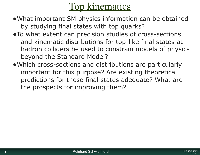## Top kinematics

- •What important SM physics information can be obtained by studying final states with top quarks?
- •To what extent can precision studies of cross-sections and kinematic distributions for top-like final states at hadron colliders be used to constrain models of physics beyond the Standard Model?
- •Which cross-sections and distributions are particularly important for this purpose? Are existing theoretical predictions for those final states adequate? What are the prospects for improving them?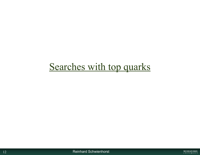## Searches with top quarks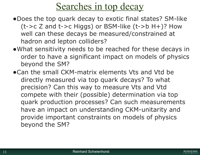## Searches in top decay

- •Does the top quark decay to exotic final states? SM-like  $(t->c Z$  and  $t->c Higgs)$  or BSM-like  $(t->b H+)$ ? How well can these decays be measured/constrained at hadron and lepton colliders?
- •What sensitivity needs to be reached for these decays in order to have a significant impact on models of physics beyond the SM?
- •Can the small CKM-matrix elements Vts and Vtd be directly measured via top quark decays? To what precision? Can this way to measure Vts and Vtd compete with their (possible) determination via top quark production processes? Can such measurements have an impact on understanding CKM-unitarity and provide important constraints on models of physics beyond the SM?